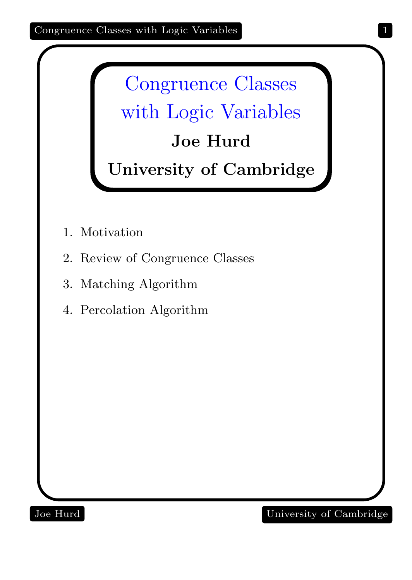Congruence Classes with Logic Variables Joe Hurd

University of Cambridge

- 1. Motivation
- 2. Review of Congruence Classes
- 3. Matching Algorithm
- 4. Percolation Algorithm

Joe Hurd University of Cambridge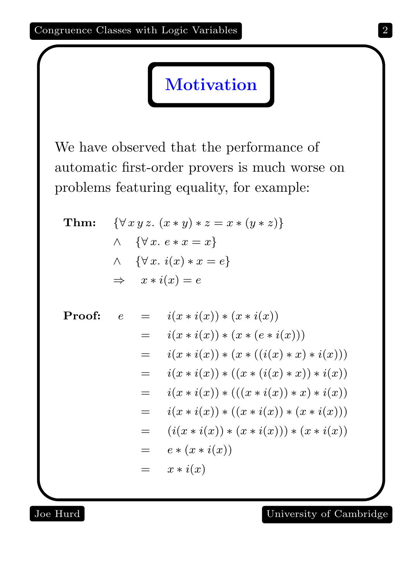We have observed that the performance of automatic first-order provers is much worse on problems featuring equality, for example:

**Motivation** 

Thm: {∀ x y z. (x ∗ y) ∗ z = x ∗ (y ∗ z)} ∧ {∀ x. e ∗ x = x} ∧ {∀ x. i(x) ∗ x = e} ⇒ x ∗ i(x) = e

Proof: 
$$
e = i(x * i(x)) * (x * i(x))
$$
  
\n
$$
= i(x * i(x)) * (x * (e * i(x)))
$$
\n
$$
= i(x * i(x)) * (x * ((i(x) * x) * i(x)))
$$
\n
$$
= i(x * i(x)) * ((x * (i(x) * x)) * i(x))
$$
\n
$$
= i(x * i(x)) * (((x * i(x)) * x) * i(x))
$$
\n
$$
= i(x * i(x)) * ((x * i(x)) * (x * i(x)))
$$
\n
$$
= (i(x * i(x)) * (x * i(x))) * (x * i(x))
$$
\n
$$
= e * (x * i(x))
$$
\n
$$
= x * i(x)
$$

## Joe Hurd University of Cambridge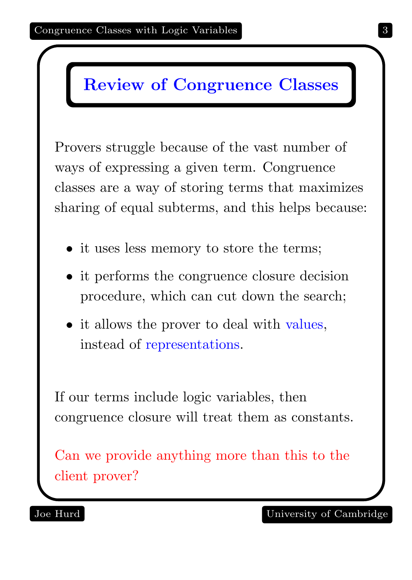## Review of Congruence Classes

Provers struggle because of the vast number of ways of expressing a given term. Congruence classes are a way of storing terms that maximizes sharing of equal subterms, and this helps because:

- it uses less memory to store the terms;
- it performs the congruence closure decision procedure, which can cut down the search;
- it allows the prover to deal with values, instead of representations.

If our terms include logic variables, then congruence closure will treat them as constants.

Can we provide anything more than this to the client prover?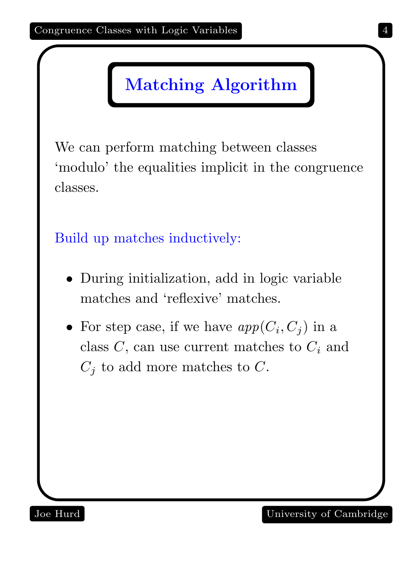## Matching Algorithm

We can perform matching between classes 'modulo' the equalities implicit in the congruence classes.

Build up matches inductively:

- During initialization, add in logic variable matches and 'reflexive' matches.
- For step case, if we have  $app(C_i, C_j)$  in a class  $C$ , can use current matches to  $C_i$  and  $C_j$  to add more matches to C.